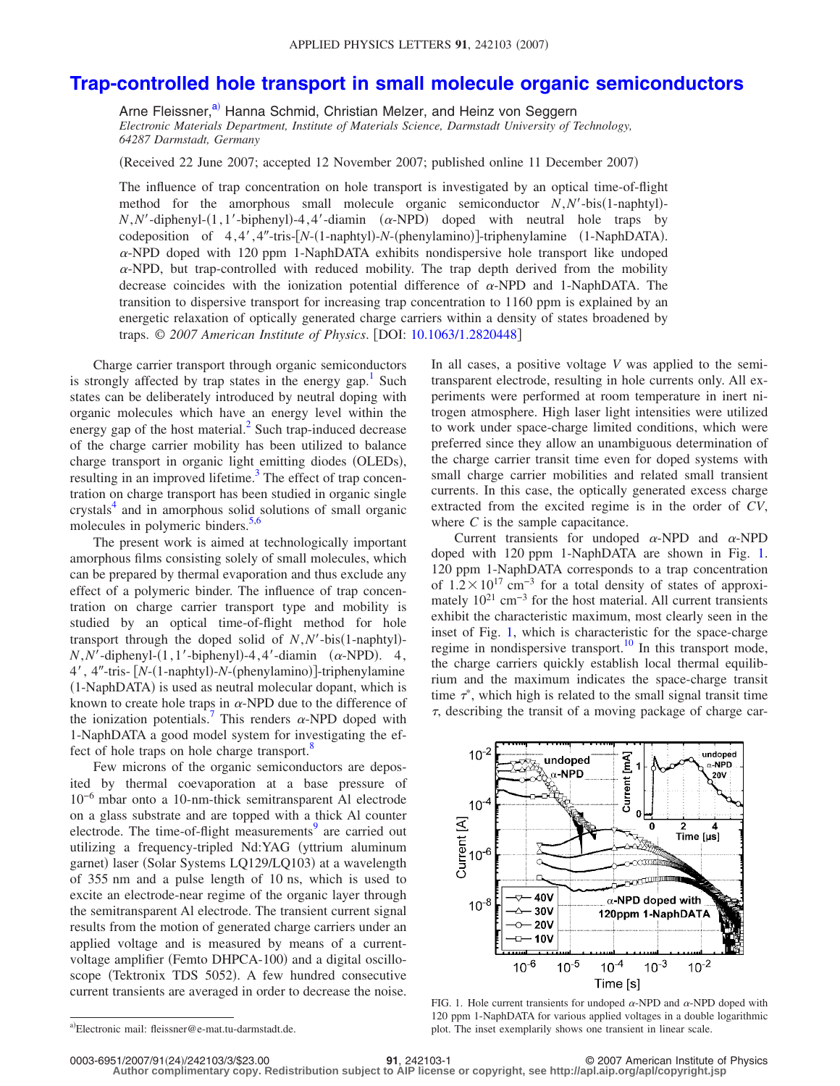## **[Trap-controlled hole transport in small molecule organic semiconductors](http://dx.doi.org/10.1063/1.2820448)**

Arne Fleissner,<sup>a)</sup> Hanna Schmid, Christian Melzer, and Heinz von Seggern *Electronic Materials Department, Institute of Materials Science, Darmstadt University of Technology, 64287 Darmstadt, Germany*

Received 22 June 2007; accepted 12 November 2007; published online 11 December 2007-

The influence of trap concentration on hole transport is investigated by an optical time-of-flight method for the amorphous small molecule organic semiconductor *N*,*N'*-bis(1-naphtyl)- $N, N'$ -diphenyl- $(1, 1'$ -biphenyl)-4, 4'-diamin  $(\alpha$ -NPD) doped with neutral hole traps by codeposition of 4,4',4"-tris-[N-(1-naphtyl)-N-(phenylamino)]-triphenylamine (1-NaphDATA).  $\alpha$ -NPD doped with 120 ppm 1-NaphDATA exhibits nondispersive hole transport like undoped  $\alpha$ -NPD, but trap-controlled with reduced mobility. The trap depth derived from the mobility decrease coincides with the ionization potential difference of  $\alpha$ -NPD and 1-NaphDATA. The transition to dispersive transport for increasing trap concentration to 1160 ppm is explained by an energetic relaxation of optically generated charge carriers within a density of states broadened by traps. © *2007 American Institute of Physics*. DOI: [10.1063/1.2820448](http://dx.doi.org/10.1063/1.2820448)

Charge carrier transport through organic semiconductors is strongly affected by trap states in the energy gap.<sup>1</sup> Such states can be deliberately introduced by neutral doping with organic molecules which have an energy level within the energy gap of the host material. $<sup>2</sup>$  Such trap-induced decrease</sup> of the charge carrier mobility has been utilized to balance charge transport in organic light emitting diodes (OLEDs), resulting in an improved lifetime.<sup>3</sup> The effect of trap concentration on charge transport has been studied in organic single crystals<sup>4</sup> and in amorphous solid solutions of small organic molecules in polymeric binders.<sup>5,[6](#page-2-5)</sup>

The present work is aimed at technologically important amorphous films consisting solely of small molecules, which can be prepared by thermal evaporation and thus exclude any effect of a polymeric binder. The influence of trap concentration on charge carrier transport type and mobility is studied by an optical time-of-flight method for hole transport through the doped solid of *N*, *N'*-bis(1-naphtyl)- $N, N'$ -diphenyl- $(1, 1'$ -biphenyl)-4,4'-diamin  $(\alpha$ -NPD). 4, 4', 4"-tris- [N-(1-naphtyl)-N-(phenylamino)]-triphenylamine (1-NaphDATA) is used as neutral molecular dopant, which is known to create hole traps in  $\alpha$ -NPD due to the difference of the ionization potentials.<sup>7</sup> This renders  $\alpha$ -NPD doped with 1-NaphDATA a good model system for investigating the effect of hole traps on hole charge transport.<sup>8</sup>

Few microns of the organic semiconductors are deposited by thermal coevaporation at a base pressure of 10−6 mbar onto a 10-nm-thick semitransparent Al electrode on a glass substrate and are topped with a thick Al counter electrode. The time-of-flight measurements<sup>9</sup> are carried out utilizing a frequency-tripled Nd:YAG yttrium aluminum garnet) laser (Solar Systems LQ129/LQ103) at a wavelength of 355 nm and a pulse length of 10 ns, which is used to excite an electrode-near regime of the organic layer through the semitransparent Al electrode. The transient current signal results from the motion of generated charge carriers under an applied voltage and is measured by means of a currentvoltage amplifier (Femto DHPCA-100) and a digital oscilloscope (Tektronix TDS 5052). A few hundred consecutive current transients are averaged in order to decrease the noise. In all cases, a positive voltage *V* was applied to the semitransparent electrode, resulting in hole currents only. All experiments were performed at room temperature in inert nitrogen atmosphere. High laser light intensities were utilized to work under space-charge limited conditions, which were preferred since they allow an unambiguous determination of the charge carrier transit time even for doped systems with small charge carrier mobilities and related small transient currents. In this case, the optically generated excess charge extracted from the excited regime is in the order of *CV*, where *C* is the sample capacitance.

Current transients for undoped  $\alpha$ -NPD and  $\alpha$ -NPD doped with 120 ppm 1-NaphDATA are shown in Fig. [1.](#page-0-1) 120 ppm 1-NaphDATA corresponds to a trap concentration of  $1.2 \times 10^{17}$  cm<sup>-3</sup> for a total density of states of approximately  $10^{21}$  cm<sup>-3</sup> for the host material. All current transients exhibit the characteristic maximum, most clearly seen in the inset of Fig. [1,](#page-0-1) which is characteristic for the space-charge regime in nondispersive transport.<sup>10</sup> In this transport mode, the charge carriers quickly establish local thermal equilibrium and the maximum indicates the space-charge transit time  $\tau^*$ , which high is related to the small signal transit time  $\tau$ , describing the transit of a moving package of charge car-

<span id="page-0-1"></span>

FIG. 1. Hole current transients for undoped  $\alpha$ -NPD and  $\alpha$ -NPD doped with 120 ppm 1-NaphDATA for various applied voltages in a double logarithmic plot. The inset exemplarily shows one transient in linear scale.

**Author complimentary copy. Redistribution subject to AIP license or copyright, see http://apl.aip.org/apl/copyright.jsp**

<span id="page-0-0"></span>a)Electronic mail: fleissner@e-mat.tu-darmstadt.de.

**<sup>21</sup>**, 242103-1 © 2007 American Institute of Physics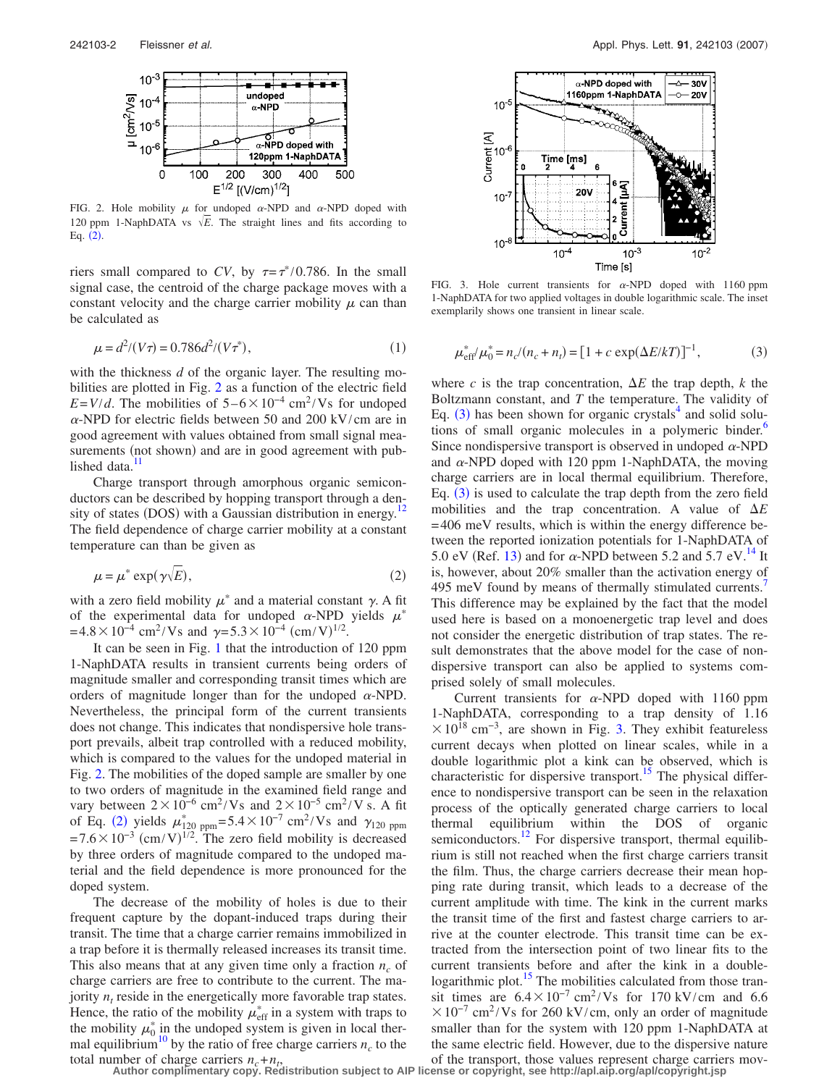<span id="page-1-0"></span>

FIG. 2. Hole mobility  $\mu$  for undoped  $\alpha$ -NPD and  $\alpha$ -NPD doped with 120 ppm 1-NaphDATA vs  $\sqrt{E}$ . The straight lines and fits according to Eq.  $(2)$  $(2)$  $(2)$ .

riers small compared to CV, by  $\tau = \tau^*/0.786$ . In the small signal case, the centroid of the charge package moves with a constant velocity and the charge carrier mobility  $\mu$  can than be calculated as

$$
\mu = d^2/(V\tau) = 0.786d^2/(V\tau^*),\tag{1}
$$

with the thickness *d* of the organic layer. The resulting mobilities are plotted in Fig. [2](#page-1-0) as a function of the electric field  $E=V/d$ . The mobilities of  $5-6 \times 10^{-4}$  cm<sup>2</sup>/Vs for undoped  $\alpha$ -NPD for electric fields between 50 and 200 kV/cm are in good agreement with values obtained from small signal measurements (not shown) and are in good agreement with published data.<sup>11</sup>

Charge transport through amorphous organic semiconductors can be described by hopping transport through a density of states (DOS) with a Gaussian distribution in energy.<sup>12</sup> The field dependence of charge carrier mobility at a constant temperature can than be given as

<span id="page-1-1"></span>
$$
\mu = \mu^* \exp(\gamma \sqrt{E}), \tag{2}
$$

with a zero field mobility  $\mu^*$  and a material constant  $\gamma$ . A fit of the experimental data for undoped  $\alpha$ -NPD yields  $\mu^*$  $= 4.8 \times 10^{-4}$  cm<sup>2</sup>/Vs and  $\gamma = 5.3 \times 10^{-4}$  (cm/V)<sup>1/2</sup>.

It can be seen in Fig. [1](#page-0-1) that the introduction of 120 ppm 1-NaphDATA results in transient currents being orders of magnitude smaller and corresponding transit times which are orders of magnitude longer than for the undoped  $\alpha$ -NPD. Nevertheless, the principal form of the current transients does not change. This indicates that nondispersive hole transport prevails, albeit trap controlled with a reduced mobility, which is compared to the values for the undoped material in Fig. [2.](#page-1-0) The mobilities of the doped sample are smaller by one to two orders of magnitude in the examined field range and vary between  $2 \times 10^{-6}$  cm<sup>2</sup>/Vs and  $2 \times 10^{-5}$  cm<sup>2</sup>/Vs. A fit of Eq. ([2](#page-1-1)) yields  $\mu_{120\text{ ppm}}^* = 5.4 \times 10^{-7} \text{ cm}^2/\text{Vs}$  and  $\gamma_{120\text{ ppm}}$  $= 7.6 \times 10^{-3}$  (cm/V)<sup>1/2</sup>. The zero field mobility is decreased by three orders of magnitude compared to the undoped material and the field dependence is more pronounced for the doped system.

The decrease of the mobility of holes is due to their frequent capture by the dopant-induced traps during their transit. The time that a charge carrier remains immobilized in a trap before it is thermally released increases its transit time. This also means that at any given time only a fraction  $n_c$  of charge carriers are free to contribute to the current. The majority  $n_t$  reside in the energetically more favorable trap states. Hence, the ratio of the mobility  $\mu_{\text{eff}}^*$  in a system with traps to the mobility  $\mu_0^*$  in the undoped system is given in local thermal equilibrium<sup>10</sup> by the ratio of free charge carriers  $n_c$  to the

<span id="page-1-3"></span>

<span id="page-1-2"></span>FIG. 3. Hole current transients for  $\alpha$ -NPD doped with 1160 ppm 1-NaphDATA for two applied voltages in double logarithmic scale. The inset exemplarily shows one transient in linear scale.

$$
\mu_{\text{eff}}^* / \mu_0^* = n_c / (n_c + n_t) = [1 + c \exp(\Delta E / kT)]^{-1}, \tag{3}
$$

where *c* is the trap concentration,  $\Delta E$  the trap depth, *k* the Boltzmann constant, and *T* the temperature. The validity of Eq.  $(3)$  $(3)$  $(3)$  has been shown for organic crystals<sup>4</sup> and solid solutions of small organic molecules in a polymeric binder.<sup>6</sup> Since nondispersive transport is observed in undoped  $\alpha$ -NPD and  $\alpha$ -NPD doped with 120 ppm 1-NaphDATA, the moving charge carriers are in local thermal equilibrium. Therefore, Eq.  $(3)$  $(3)$  $(3)$  is used to calculate the trap depth from the zero field mobilities and the trap concentration. A value of  $\Delta E$ = 406 meV results, which is within the energy difference between the reported ionization potentials for 1-NaphDATA of 5.0 eV (Ref. [13](#page-2-12)) and for  $\alpha$ -NPD between 5.2 and 5.7 eV.<sup>14</sup> It is, however, about 20% smaller than the activation energy of 495 meV found by means of thermally stimulated currents.<sup>7</sup> This difference may be explained by the fact that the model used here is based on a monoenergetic trap level and does not consider the energetic distribution of trap states. The result demonstrates that the above model for the case of nondispersive transport can also be applied to systems comprised solely of small molecules.

Current transients for  $\alpha$ -NPD doped with 1160 ppm 1-NaphDATA, corresponding to a trap density of 1.16  $\times$  10<sup>18</sup> cm<sup>-3</sup>, are shown in Fig. [3.](#page-1-3) They exhibit featureless current decays when plotted on linear scales, while in a double logarithmic plot a kink can be observed, which is characteristic for dispersive transport.<sup>15</sup> The physical difference to nondispersive transport can be seen in the relaxation process of the optically generated charge carriers to local thermal equilibrium within the DOS of organic semiconductors.<sup>12</sup> For dispersive transport, thermal equilibrium is still not reached when the first charge carriers transit the film. Thus, the charge carriers decrease their mean hopping rate during transit, which leads to a decrease of the current amplitude with time. The kink in the current marks the transit time of the first and fastest charge carriers to arrive at the counter electrode. This transit time can be extracted from the intersection point of two linear fits to the current transients before and after the kink in a doublelogarithmic plot.<sup>15</sup> The mobilities calculated from those transit times are  $6.4 \times 10^{-7}$  cm<sup>2</sup>/Vs for 170 kV/cm and 6.6  $\times 10^{-7}$  cm<sup>2</sup>/Vs for 260 kV/cm, only an order of magnitude smaller than for the system with 120 ppm 1-NaphDATA at the same electric field. However, due to the dispersive nature

total number of charge carriers  $n_c + n_f$ , of the transport, those values represent charge carriers mov-<br>Author complimentary copy. Redistribution subject to AIP license or copyright, see http://apl.aip.org/apl/copyright.js